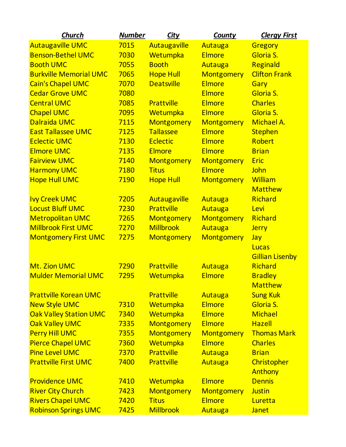| <u>Church</u>                 | <b>Number</b> | <b>City</b>       | <b>County</b>     | <b>Clergy First</b>    |
|-------------------------------|---------------|-------------------|-------------------|------------------------|
| <b>Autaugaville UMC</b>       | 7015          | Autaugaville      | Autauga           | Gregory                |
| <b>Benson-Bethel UMC</b>      | 7030          | Wetumpka          | <b>Elmore</b>     | Gloria S.              |
| <b>Booth UMC</b>              | 7055          | <b>Booth</b>      | Autauga           | Reginald               |
| <b>Burkville Memorial UMC</b> | 7065          | <b>Hope Hull</b>  | <b>Montgomery</b> | <b>Clifton Frank</b>   |
| <b>Cain's Chapel UMC</b>      | 7070          | <b>Deatsville</b> | <b>Elmore</b>     | Gary                   |
| <b>Cedar Grove UMC</b>        | 7080          |                   | <b>Elmore</b>     | Gloria S.              |
| <b>Central UMC</b>            | 7085          | Prattville        | <b>Elmore</b>     | <b>Charles</b>         |
| <b>Chapel UMC</b>             | 7095          | Wetumpka          | <b>Elmore</b>     | Gloria S.              |
| Dalraida UMC                  | 7115          | <b>Montgomery</b> | <b>Montgomery</b> | Michael A.             |
| <b>East Tallassee UMC</b>     | 7125          | <b>Tallassee</b>  | <b>Elmore</b>     | <b>Stephen</b>         |
| <b>Eclectic UMC</b>           | 7130          | <b>Eclectic</b>   | <b>Elmore</b>     | Robert                 |
| <b>Elmore UMC</b>             | 7135          | <b>Elmore</b>     | <b>Elmore</b>     | <b>Brian</b>           |
| <b>Fairview UMC</b>           | 7140          | <b>Montgomery</b> | <b>Montgomery</b> | <b>Eric</b>            |
| <b>Harmony UMC</b>            | 7180          | <b>Titus</b>      | <b>Elmore</b>     | John                   |
| <b>Hope Hull UMC</b>          | 7190          | <b>Hope Hull</b>  | <b>Montgomery</b> | William                |
|                               |               |                   |                   | <b>Matthew</b>         |
| <b>Ivy Creek UMC</b>          | 7205          | Autaugaville      | Autauga           | Richard                |
| <b>Locust Bluff UMC</b>       | 7230          | Prattville        | Autauga           | Levi                   |
| <b>Metropolitan UMC</b>       | 7265          | <b>Montgomery</b> | <b>Montgomery</b> | Richard                |
| <b>Millbrook First UMC</b>    | 7270          | <b>Millbrook</b>  | Autauga           | <b>Jerry</b>           |
| <b>Montgomery First UMC</b>   | 7275          | <b>Montgomery</b> | <b>Montgomery</b> | Jay                    |
|                               |               |                   |                   | <b>Lucas</b>           |
|                               |               |                   |                   | <b>Gillian Lisenby</b> |
| Mt. Zion UMC                  | 7290          | Prattville        | Autauga           | Richard                |
| <b>Mulder Memorial UMC</b>    | 7295          | Wetumpka          | <b>Elmore</b>     | <b>Bradley</b>         |
|                               |               |                   |                   | <b>Matthew</b>         |
| <b>Prattville Korean UMC</b>  |               | Prattville        | Autauga           | <b>Sung Kuk</b>        |
| <b>New Style UMC</b>          | 7310          | Wetumpka          | <b>Elmore</b>     | Gloria S.              |
| <b>Oak Valley Station UMC</b> | 7340          | Wetumpka          | <b>Elmore</b>     | <b>Michael</b>         |
| <b>Oak Valley UMC</b>         | 7335          | <b>Montgomery</b> | <b>Elmore</b>     | <b>Hazell</b>          |
| <b>Perry Hill UMC</b>         | 7355          | <b>Montgomery</b> | <b>Montgomery</b> | <b>Thomas Mark</b>     |
| <b>Pierce Chapel UMC</b>      | 7360          | Wetumpka          | <b>Elmore</b>     | <b>Charles</b>         |
| <b>Pine Level UMC</b>         | 7370          | Prattville        | Autauga           | <b>Brian</b>           |
| <b>Prattville First UMC</b>   | 7400          | Prattville        | Autauga           | Christopher            |
|                               |               |                   |                   | Anthony                |
| <b>Providence UMC</b>         | 7410          | Wetumpka          | <b>Elmore</b>     | <b>Dennis</b>          |
| <b>River City Church</b>      | 7423          | <b>Montgomery</b> | <b>Montgomery</b> | <b>Justin</b>          |
| <b>Rivers Chapel UMC</b>      | 7420          | <b>Titus</b>      | <b>Elmore</b>     | Luretta                |
| <b>Robinson Springs UMC</b>   | 7425          | <b>Millbrook</b>  | Autauga           | <b>Janet</b>           |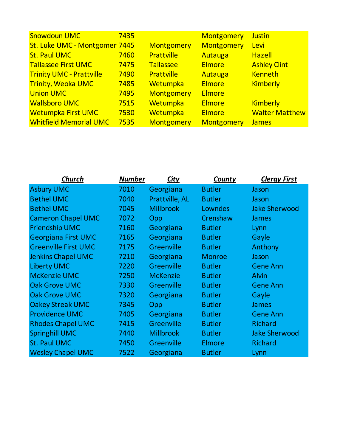| <b>Snowdoun UMC</b>             | 7435 |                   | <b>Montgomery</b> | <b>Justin</b>         |
|---------------------------------|------|-------------------|-------------------|-----------------------|
| St. Luke UMC - Montgomer 7445   |      | Montgomery        | Montgomery        | Levi                  |
| <b>St. Paul UMC</b>             | 7460 | <b>Prattville</b> | Autauga           | <b>Hazell</b>         |
| <b>Tallassee First UMC</b>      | 7475 | <b>Tallassee</b>  | <b>Elmore</b>     | <b>Ashley Clint</b>   |
| <b>Trinity UMC - Prattville</b> | 7490 | <b>Prattville</b> | Autauga           | <b>Kenneth</b>        |
| <b>Trinity, Weoka UMC</b>       | 7485 | Wetumpka          | <b>Elmore</b>     | <b>Kimberly</b>       |
| <b>Union UMC</b>                | 7495 | <b>Montgomery</b> | <b>Elmore</b>     |                       |
| <b>Wallsboro UMC</b>            | 7515 | Wetumpka          | <b>Elmore</b>     | <b>Kimberly</b>       |
| <b>Wetumpka First UMC</b>       | 7530 | Wetumpka          | <b>Elmore</b>     | <b>Walter Matthew</b> |
| <b>Whitfield Memorial UMC</b>   | 7535 | Montgomery        | <b>Montgomery</b> | <b>James</b>          |

| <b>Church</b>               | <b>Number</b> | <u>City</u>      | <b>County</b> | <u> Clergy First</u> |
|-----------------------------|---------------|------------------|---------------|----------------------|
| <b>Asbury UMC</b>           | 7010          | Georgiana        | <b>Butler</b> | Jason                |
| <b>Bethel UMC</b>           | 7040          | Prattville, AL   | <b>Butler</b> | Jason                |
| <b>Bethel UMC</b>           | 7045          | <b>Millbrook</b> | Lowndes       | <b>Jake Sherwood</b> |
| <b>Cameron Chapel UMC</b>   | 7072          | Opp              | Crenshaw      | James                |
| <b>Friendship UMC</b>       | 7160          | Georgiana        | <b>Butler</b> | Lynn                 |
| <b>Georgiana First UMC</b>  | 7165          | Georgiana        | <b>Butler</b> | Gayle                |
| <b>Greenville First UMC</b> | 7175          | Greenville       | <b>Butler</b> | Anthony              |
| <b>Jenkins Chapel UMC</b>   | 7210          | Georgiana        | <b>Monroe</b> | Jason                |
| <b>Liberty UMC</b>          | 7220          | Greenville       | <b>Butler</b> | <b>Gene Ann</b>      |
| <b>McKenzie UMC</b>         | 7250          | <b>McKenzie</b>  | <b>Butler</b> | <b>Alvin</b>         |
| <b>Oak Grove UMC</b>        | 7330          | Greenville       | <b>Butler</b> | <b>Gene Ann</b>      |
| <b>Oak Grove UMC</b>        | 7320          | Georgiana        | <b>Butler</b> | Gayle                |
| <b>Oakey Streak UMC</b>     | 7345          | Opp              | <b>Butler</b> | James                |
| <b>Providence UMC</b>       | 7405          | Georgiana        | <b>Butler</b> | <b>Gene Ann</b>      |
| <b>Rhodes Chapel UMC</b>    | 7415          | Greenville       | <b>Butler</b> | <b>Richard</b>       |
| <b>Springhill UMC</b>       | 7440          | <b>Millbrook</b> | <b>Butler</b> | <b>Jake Sherwood</b> |
| St. Paul UMC                | 7450          | Greenville       | <b>Elmore</b> | <b>Richard</b>       |
| <b>Wesley Chapel UMC</b>    | 7522          | Georgiana        | <b>Butler</b> | Lynn                 |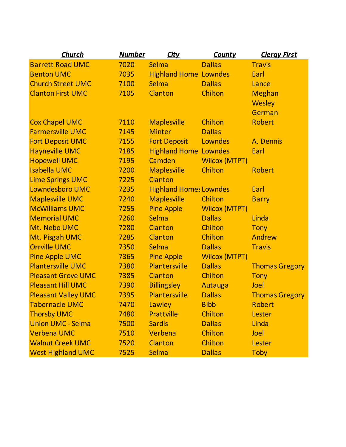| <b>Church</b>              | <b>Number</b> | <b>City</b>                   | County               | <b>Clergy First</b>   |
|----------------------------|---------------|-------------------------------|----------------------|-----------------------|
| <b>Barrett Road UMC</b>    | 7020          | Selma                         | <b>Dallas</b>        | <b>Travis</b>         |
| <b>Benton UMC</b>          | 7035          | <b>Highland Home Lowndes</b>  |                      | Earl                  |
| <b>Church Street UMC</b>   | 7100          | Selma                         | <b>Dallas</b>        | Lance                 |
| <b>Clanton First UMC</b>   | 7105          | Clanton                       | Chilton              | <b>Meghan</b>         |
|                            |               |                               |                      | <b>Wesley</b>         |
|                            |               |                               |                      | German                |
| <b>Cox Chapel UMC</b>      | 7110          | <b>Maplesville</b>            | Chilton              | <b>Robert</b>         |
| <b>Farmersville UMC</b>    | 7145          | <b>Minter</b>                 | <b>Dallas</b>        |                       |
| <b>Fort Deposit UMC</b>    | 7155          | <b>Fort Deposit</b>           | Lowndes              | A. Dennis             |
| <b>Hayneville UMC</b>      | 7185          | <b>Highland Home</b>          | Lowndes              | Earl                  |
| <b>Hopewell UMC</b>        | 7195          | Camden                        | <b>Wilcox (MTPT)</b> |                       |
| <b>Isabella UMC</b>        | 7200          | <b>Maplesville</b>            | Chilton              | <b>Robert</b>         |
| <b>Lime Springs UMC</b>    | 7225          | Clanton                       |                      |                       |
| Lowndesboro UMC            | 7235          | <b>Highland Homes Lowndes</b> |                      | Earl                  |
| <b>Maplesville UMC</b>     | 7240          | <b>Maplesville</b>            | Chilton              | <b>Barry</b>          |
| <b>McWilliams UMC</b>      | 7255          | <b>Pine Apple</b>             | <b>Wilcox (MTPT)</b> |                       |
| <b>Memorial UMC</b>        | 7260          | <b>Selma</b>                  | <b>Dallas</b>        | Linda                 |
| Mt. Nebo UMC               | 7280          | Clanton                       | Chilton              | <b>Tony</b>           |
| Mt. Pisgah UMC             | 7285          | Clanton                       | Chilton              | Andrew                |
| <b>Orrville UMC</b>        | 7350          | Selma                         | <b>Dallas</b>        | <b>Travis</b>         |
| <b>Pine Apple UMC</b>      | 7365          | <b>Pine Apple</b>             | <b>Wilcox (MTPT)</b> |                       |
| <b>Plantersville UMC</b>   | 7380          | <b>Plantersville</b>          | <b>Dallas</b>        | <b>Thomas Gregory</b> |
| <b>Pleasant Grove UMC</b>  | 7385          | Clanton                       | Chilton              | <b>Tony</b>           |
| <b>Pleasant Hill UMC</b>   | 7390          | <b>Billingsley</b>            | Autauga              | Joel                  |
| <b>Pleasant Valley UMC</b> | 7395          | Plantersville                 | <b>Dallas</b>        | <b>Thomas Gregory</b> |
| Tabernacle UMC             | 7470          | Lawley                        | <b>Bibb</b>          | Robert                |
| <b>Thorsby UMC</b>         | 7480          | <b>Prattville</b>             | Chilton              | Lester                |
| <b>Union UMC - Selma</b>   | 7500          | <b>Sardis</b>                 | <b>Dallas</b>        | Linda                 |
| <b>Verbena UMC</b>         | 7510          | Verbena                       | Chilton              | Joel                  |
| <b>Walnut Creek UMC</b>    | 7520          | Clanton                       | Chilton              | Lester                |
| <b>West Highland UMC</b>   | 7525          | <b>Selma</b>                  | <b>Dallas</b>        | <b>Toby</b>           |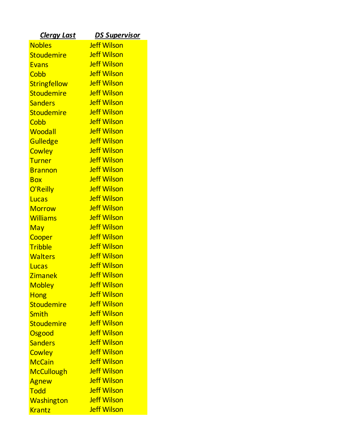| <u>Clergy Last</u>  | <u>DS Supervisor</u> |
|---------------------|----------------------|
| <b>Nobles</b>       | <b>Jeff Wilson</b>   |
| <b>Stoudemire</b>   | <b>Jeff Wilson</b>   |
| <b>Evans</b>        | <b>Jeff Wilson</b>   |
| Cobb                | <b>Jeff Wilson</b>   |
| <b>Stringfellow</b> | <b>Jeff Wilson</b>   |
| <b>Stoudemire</b>   | <b>Jeff Wilson</b>   |
| <b>Sanders</b>      | <b>Jeff Wilson</b>   |
| <b>Stoudemire</b>   | <b>Jeff Wilson</b>   |
| <b>Cobb</b>         | <b>Jeff Wilson</b>   |
| Woodall             | <b>Jeff Wilson</b>   |
| <b>Gulledge</b>     | <b>Jeff Wilson</b>   |
| <b>Cowley</b>       | <b>Jeff Wilson</b>   |
| <b>Turner</b>       | <b>Jeff Wilson</b>   |
| <b>Brannon</b>      | <b>Jeff Wilson</b>   |
| <b>Box</b>          | <b>Jeff Wilson</b>   |
| O'Reilly            | <b>Jeff Wilson</b>   |
| <b>Lucas</b>        | <b>Jeff Wilson</b>   |
| <b>Morrow</b>       | <b>Jeff Wilson</b>   |
| <b>Williams</b>     | <b>Jeff Wilson</b>   |
| May                 | <b>Jeff Wilson</b>   |
| Cooper              | <b>Jeff Wilson</b>   |
| <b>Tribble</b>      | <b>Jeff Wilson</b>   |
| Walters             | <b>Jeff Wilson</b>   |
| Lucas               | <b>Jeff Wilson</b>   |
| <b>Zimanek</b>      | <b>Jeff Wilson</b>   |
| <b>Mobley</b>       | <b>Jeff Wilson</b>   |
| <b>Hong</b>         | <b>Jeff Wilson</b>   |
| <b>Stoudemire</b>   | <b>Jeff Wilson</b>   |
| Smith               | <b>Jeff Wilson</b>   |
| <b>Stoudemire</b>   | <b>Jeff Wilson</b>   |
| <b>Osgood</b>       | <b>Jeff Wilson</b>   |
| <b>Sanders</b>      | <b>Jeff Wilson</b>   |
| <b>Cowley</b>       | <b>Jeff Wilson</b>   |
| <b>McCain</b>       | <b>Jeff Wilson</b>   |
| <b>McCullough</b>   | <b>Jeff Wilson</b>   |
| Agnew               | <b>Jeff Wilson</b>   |
| <b>Todd</b>         | <b>Jeff Wilson</b>   |
| Washington          | <b>Jeff Wilson</b>   |
| <b>Krantz</b>       | <b>Jeff Wilson</b>   |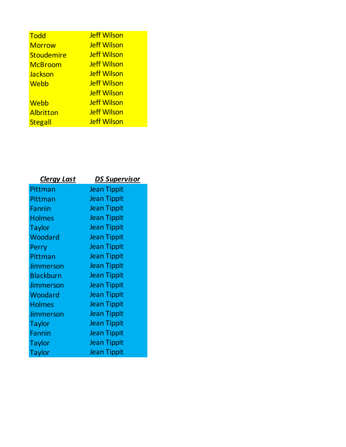| <b>Todd</b>       | <b>Jeff Wilson</b> |
|-------------------|--------------------|
| <b>Morrow</b>     | <b>Jeff Wilson</b> |
| <b>Stoudemire</b> | <b>Jeff Wilson</b> |
| <b>McBroom</b>    | <b>Jeff Wilson</b> |
| <b>Jackson</b>    | <b>Jeff Wilson</b> |
| Webb              | <b>Jeff Wilson</b> |
|                   | <b>Jeff Wilson</b> |
| <b>Webb</b>       | <b>Jeff Wilson</b> |
| Albritton         | <b>Jeff Wilson</b> |
| <b>Stegall</b>    | <b>Jeff Wilson</b> |

| <u>Cleray Last</u> | <u>DS Supervisor</u> |
|--------------------|----------------------|
| Pittman            | <b>Jean Tippit</b>   |
| Pittman            | <b>Jean Tippit</b>   |
| Fannin             | <b>Jean Tippit</b>   |
| <b>Holmes</b>      | <b>Jean Tippit</b>   |
| <b>Taylor</b>      | <b>Jean Tippit</b>   |
| Woodard            | <b>Jean Tippit</b>   |
| Perry              | <b>Jean Tippit</b>   |
| Pittman            | <b>Jean Tippit</b>   |
| Jimmerson          | <b>Jean Tippit</b>   |
| <b>Blackburn</b>   | <b>Jean Tippit</b>   |
| Jimmerson          | <b>Jean Tippit</b>   |
| Woodard            | <b>Jean Tippit</b>   |
| <b>Holmes</b>      | <b>Jean Tippit</b>   |
| Jimmerson          | <b>Jean Tippit</b>   |
| Taylor             | <b>Jean Tippit</b>   |
| Fannin             | <b>Jean Tippit</b>   |
| <b>Taylor</b>      | <b>Jean Tippit</b>   |
| Taylor             | <b>Jean Tippit</b>   |